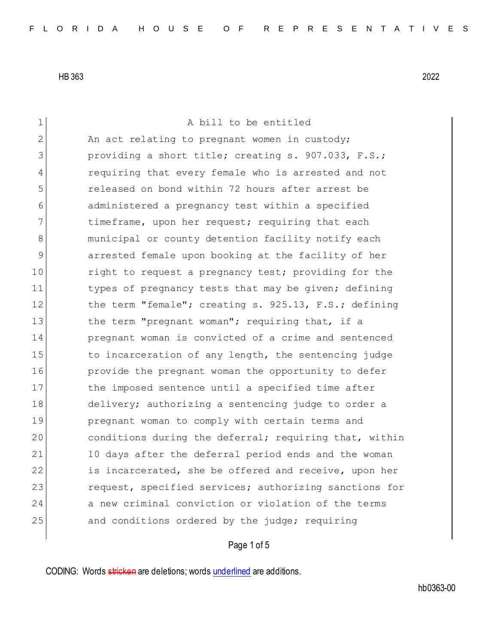1 A bill to be entitled 2 An act relating to pregnant women in custody; 3 **providing a short title; creating s. 907.033, F.S.;** 4 requiring that every female who is arrested and not 5 released on bond within 72 hours after arrest be 6 administered a pregnancy test within a specified 7 timeframe, upon her request; requiring that each 8 municipal or county detention facility notify each 9 arrested female upon booking at the facility of her 10 10 right to request a pregnancy test; providing for the 11 types of pregnancy tests that may be given; defining 12 the term "female"; creating s. 925.13, F.S.; defining 13 the term "pregnant woman"; requiring that, if a 14 **pregnant woman is convicted of a crime and sentenced** 15 to incarceration of any length, the sentencing judge 16 **provide the pregnant woman the opportunity to defer** 17 bhe imposed sentence until a specified time after 18 delivery; authorizing a sentencing judge to order a 19 **pregnant woman to comply with certain terms and** 20 conditions during the deferral; requiring that, within 21 10 days after the deferral period ends and the woman 22 is incarcerated, she be offered and receive, upon her 23 request, specified services; authorizing sanctions for 24 a new criminal conviction or violation of the terms 25 and conditions ordered by the judge; requiring

## Page 1 of 5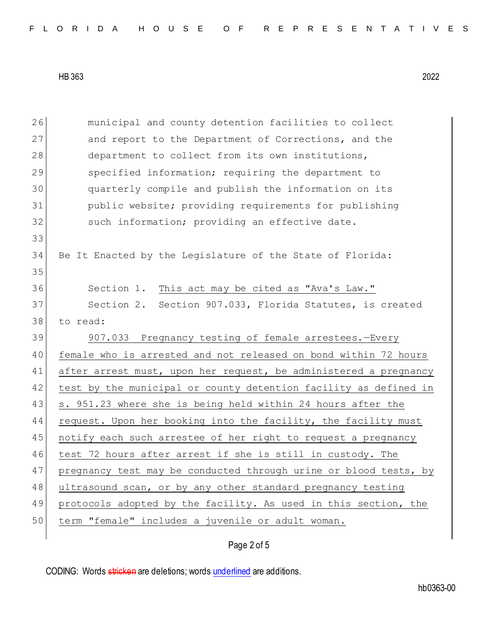| 26 | municipal and county detention facilities to collect             |
|----|------------------------------------------------------------------|
| 27 | and report to the Department of Corrections, and the             |
| 28 | department to collect from its own institutions,                 |
| 29 | specified information; requiring the department to               |
| 30 | quarterly compile and publish the information on its             |
| 31 | public website; providing requirements for publishing            |
| 32 | such information; providing an effective date.                   |
| 33 |                                                                  |
| 34 | Be It Enacted by the Legislature of the State of Florida:        |
| 35 |                                                                  |
| 36 | Section 1. This act may be cited as "Ava's Law."                 |
| 37 | Section 2. Section 907.033, Florida Statutes, is created         |
| 38 | to read:                                                         |
|    |                                                                  |
| 39 | 907.033 Pregnancy testing of female arrestees.-Every             |
| 40 | female who is arrested and not released on bond within 72 hours  |
| 41 | after arrest must, upon her request, be administered a pregnancy |
| 42 | test by the municipal or county detention facility as defined in |
| 43 | s. 951.23 where she is being held within 24 hours after the      |
| 44 | request. Upon her booking into the facility, the facility must   |
| 45 | notify each such arrestee of her right to request a pregnancy    |
| 46 | test 72 hours after arrest if she is still in custody. The       |
| 47 | pregnancy test may be conducted through urine or blood tests, by |
| 48 | ultrasound scan, or by any other standard pregnancy testing      |
| 49 | protocols adopted by the facility. As used in this section, the  |
| 50 | term "female" includes a juvenile or adult woman.                |

## Page 2 of 5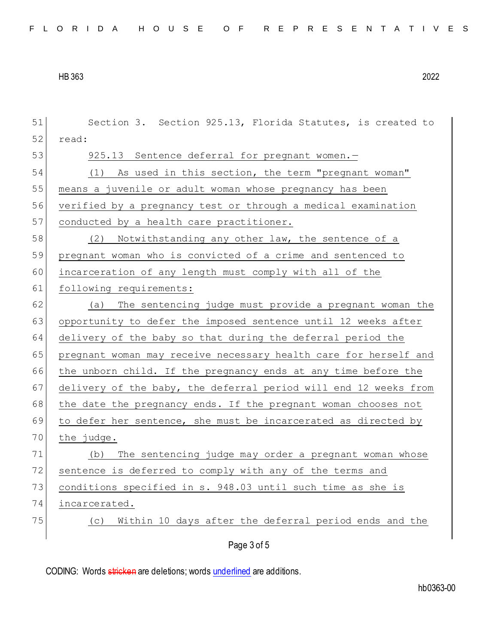| 51 | Section 3. Section 925.13, Florida Statutes, is created to       |
|----|------------------------------------------------------------------|
| 52 | read:                                                            |
| 53 | 925.13 Sentence deferral for pregnant women.-                    |
| 54 | As used in this section, the term "pregnant woman"<br>(1)        |
| 55 | means a juvenile or adult woman whose pregnancy has been         |
| 56 | verified by a pregnancy test or through a medical examination    |
| 57 | conducted by a health care practitioner.                         |
| 58 | (2)<br>Notwithstanding any other law, the sentence of a          |
| 59 | pregnant woman who is convicted of a crime and sentenced to      |
| 60 | incarceration of any length must comply with all of the          |
| 61 | following requirements:                                          |
| 62 | The sentencing judge must provide a pregnant woman the<br>(a)    |
| 63 | opportunity to defer the imposed sentence until 12 weeks after   |
| 64 | delivery of the baby so that during the deferral period the      |
| 65 | pregnant woman may receive necessary health care for herself and |
| 66 | the unborn child. If the pregnancy ends at any time before the   |
| 67 | delivery of the baby, the deferral period will end 12 weeks from |
| 68 | the date the pregnancy ends. If the pregnant woman chooses not   |
| 69 | to defer her sentence, she must be incarcerated as directed by   |
| 70 | the judge.                                                       |
| 71 | The sentencing judge may order a pregnant woman whose<br>(b)     |
| 72 | sentence is deferred to comply with any of the terms and         |
| 73 | conditions specified in s. 948.03 until such time as she is      |
| 74 | incarcerated.                                                    |
| 75 | Within 10 days after the deferral period ends and the<br>(C)     |
|    | Page 3 of 5                                                      |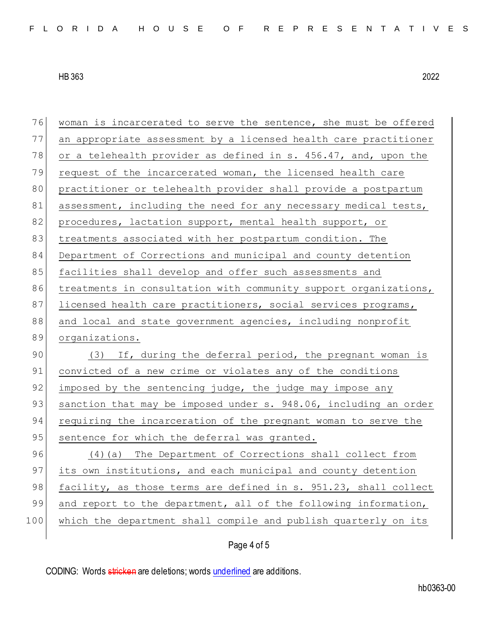| 76  | woman is incarcerated to serve the sentence, she must be offered |
|-----|------------------------------------------------------------------|
| 77  | an appropriate assessment by a licensed health care practitioner |
| 78  | or a telehealth provider as defined in s. 456.47, and, upon the  |
| 79  | request of the incarcerated woman, the licensed health care      |
| 80  | practitioner or telehealth provider shall provide a postpartum   |
| 81  | assessment, including the need for any necessary medical tests,  |
| 82  | procedures, lactation support, mental health support, or         |
| 83  | treatments associated with her postpartum condition. The         |
| 84  | Department of Corrections and municipal and county detention     |
| 85  | facilities shall develop and offer such assessments and          |
| 86  | treatments in consultation with community support organizations, |
| 87  | licensed health care practitioners, social services programs,    |
| 88  | and local and state government agencies, including nonprofit     |
|     |                                                                  |
| 89  | organizations.                                                   |
| 90  | (3) If, during the deferral period, the pregnant woman is        |
| 91  | convicted of a new crime or violates any of the conditions       |
| 92  | imposed by the sentencing judge, the judge may impose any        |
| 93  | sanction that may be imposed under s. 948.06, including an order |
| 94  | requiring the incarceration of the pregnant woman to serve the   |
| 95  | sentence for which the deferral was granted.                     |
| 96  | (4) (a) The Department of Corrections shall collect from         |
| 97  | its own institutions, and each municipal and county detention    |
| 98  | facility, as those terms are defined in s. 951.23, shall collect |
| 99  | and report to the department, all of the following information,  |
| 100 | which the department shall compile and publish quarterly on its  |

## Page 4 of 5